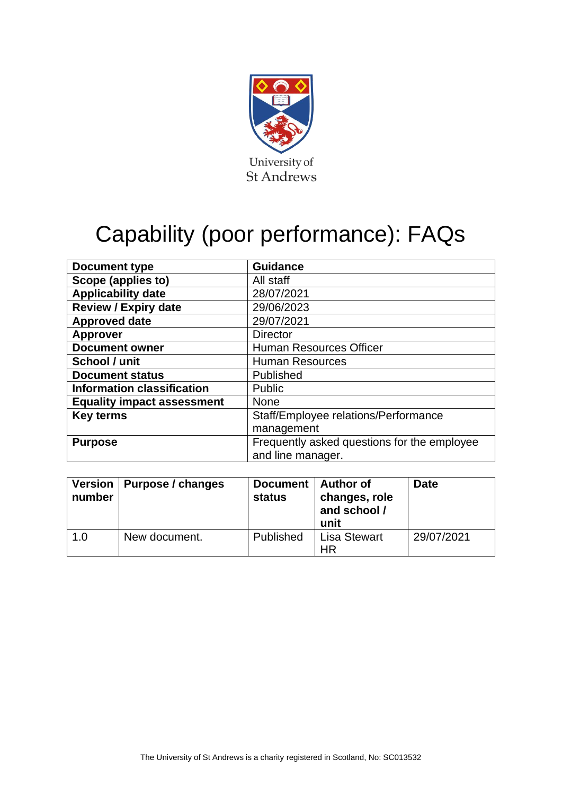

# Capability (poor performance): FAQs

| <b>Document type</b>              | <b>Guidance</b>                             |  |  |
|-----------------------------------|---------------------------------------------|--|--|
| <b>Scope (applies to)</b>         | All staff                                   |  |  |
| <b>Applicability date</b>         | 28/07/2021                                  |  |  |
| <b>Review / Expiry date</b>       | 29/06/2023                                  |  |  |
| <b>Approved date</b>              | 29/07/2021                                  |  |  |
| <b>Approver</b>                   | <b>Director</b>                             |  |  |
| <b>Document owner</b>             | <b>Human Resources Officer</b>              |  |  |
| School / unit                     | <b>Human Resources</b>                      |  |  |
| <b>Document status</b>            | Published                                   |  |  |
| <b>Information classification</b> | Public                                      |  |  |
| <b>Equality impact assessment</b> | <b>None</b>                                 |  |  |
| <b>Key terms</b>                  | Staff/Employee relations/Performance        |  |  |
|                                   | management                                  |  |  |
| <b>Purpose</b>                    | Frequently asked questions for the employee |  |  |
|                                   | and line manager.                           |  |  |

| <b>Version</b><br>number | Purpose / changes | <b>Document</b><br><b>status</b> | Author of<br>changes, role<br>and school /<br>unit | <b>Date</b> |
|--------------------------|-------------------|----------------------------------|----------------------------------------------------|-------------|
| 1.0                      | New document.     | Published                        | Lisa Stewart<br>HR                                 | 29/07/2021  |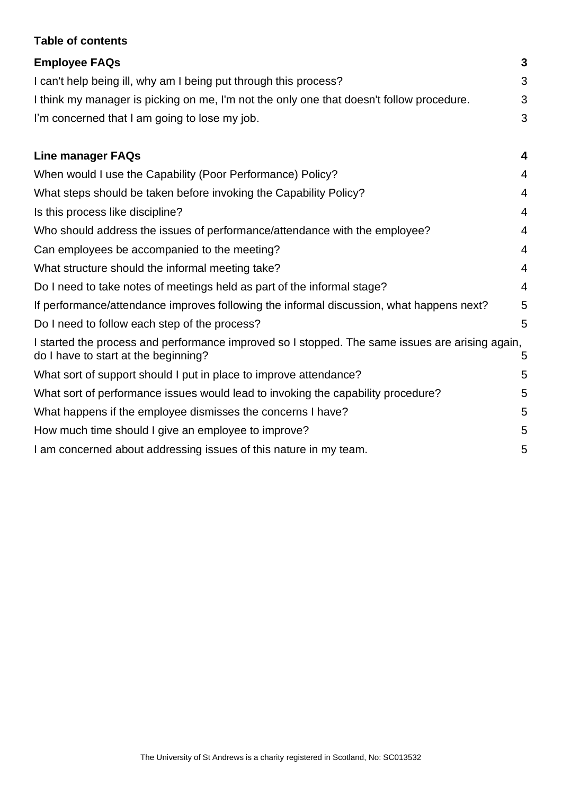# **Table of contents**

| <b>Employee FAQs</b>                                                                                                                    | 3              |
|-----------------------------------------------------------------------------------------------------------------------------------------|----------------|
| I can't help being ill, why am I being put through this process?                                                                        | 3              |
| I think my manager is picking on me, I'm not the only one that doesn't follow procedure.                                                | 3              |
| I'm concerned that I am going to lose my job.                                                                                           | 3              |
| <b>Line manager FAQs</b>                                                                                                                | 4              |
| When would I use the Capability (Poor Performance) Policy?                                                                              | 4              |
| What steps should be taken before invoking the Capability Policy?                                                                       | 4              |
| Is this process like discipline?                                                                                                        | 4              |
| Who should address the issues of performance/attendance with the employee?                                                              | 4              |
| Can employees be accompanied to the meeting?                                                                                            | 4              |
| What structure should the informal meeting take?                                                                                        | $\overline{4}$ |
| Do I need to take notes of meetings held as part of the informal stage?                                                                 | $\overline{4}$ |
| If performance/attendance improves following the informal discussion, what happens next?                                                | 5              |
| Do I need to follow each step of the process?                                                                                           | 5              |
| I started the process and performance improved so I stopped. The same issues are arising again,<br>do I have to start at the beginning? | 5              |
| What sort of support should I put in place to improve attendance?                                                                       | 5              |
| What sort of performance issues would lead to invoking the capability procedure?                                                        | 5              |
| What happens if the employee dismisses the concerns I have?                                                                             | 5              |
| How much time should I give an employee to improve?                                                                                     | 5              |
| I am concerned about addressing issues of this nature in my team.                                                                       | 5              |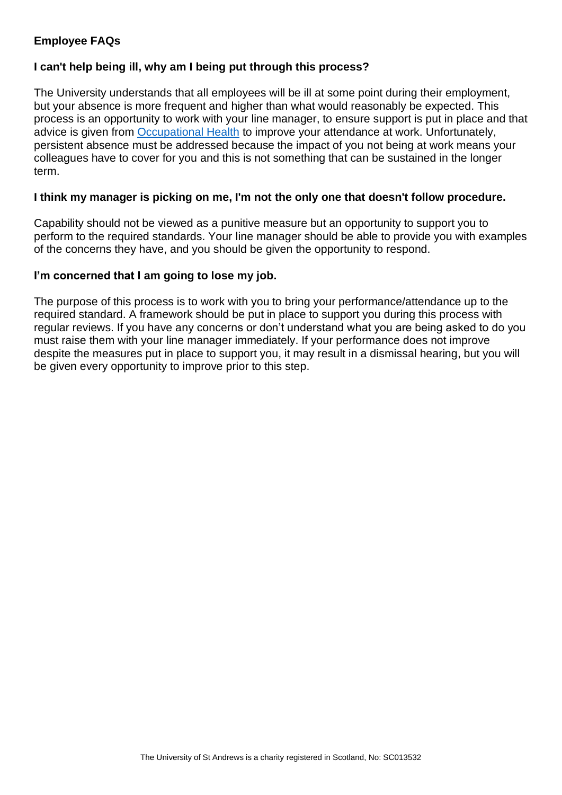# <span id="page-2-0"></span>**Employee FAQs**

# <span id="page-2-1"></span>**I can't help being ill, why am I being put through this process?**

The University understands that all employees will be ill at some point during their employment, but your absence is more frequent and higher than what would reasonably be expected. This process is an opportunity to work with your line manager, to ensure support is put in place and that advice is given from [Occupational Health](https://www.st-andrews.ac.uk/ehss/occupationalhealth/) to improve your attendance at work. Unfortunately, persistent absence must be addressed because the impact of you not being at work means your colleagues have to cover for you and this is not something that can be sustained in the longer term.

## <span id="page-2-2"></span>**I think my manager is picking on me, I'm not the only one that doesn't follow procedure.**

Capability should not be viewed as a punitive measure but an opportunity to support you to perform to the required standards. Your line manager should be able to provide you with examples of the concerns they have, and you should be given the opportunity to respond.

#### <span id="page-2-3"></span>**I'm concerned that I am going to lose my job.**

The purpose of this process is to work with you to bring your performance/attendance up to the required standard. A framework should be put in place to support you during this process with regular reviews. If you have any concerns or don't understand what you are being asked to do you must raise them with your line manager immediately. If your performance does not improve despite the measures put in place to support you, it may result in a dismissal hearing, but you will be given every opportunity to improve prior to this step.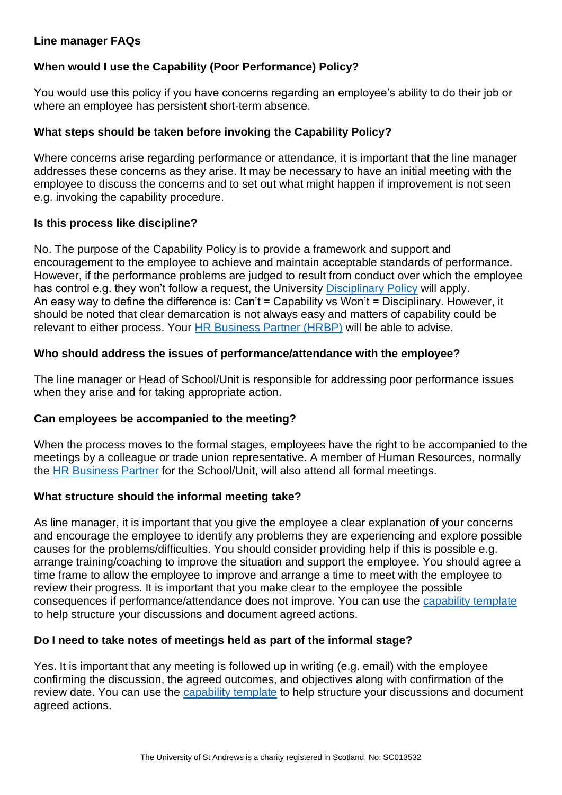# <span id="page-3-0"></span>**Line manager FAQs**

# <span id="page-3-1"></span>**When would I use the Capability (Poor Performance) Policy?**

You would use this policy if you have concerns regarding an employee's ability to do their job or where an employee has persistent short-term absence.

## <span id="page-3-2"></span>**What steps should be taken before invoking the Capability Policy?**

Where concerns arise regarding performance or attendance, it is important that the line manager addresses these concerns as they arise. It may be necessary to have an initial meeting with the employee to discuss the concerns and to set out what might happen if improvement is not seen e.g. invoking the capability procedure.

## <span id="page-3-3"></span>**Is this process like discipline?**

No. The purpose of the Capability Policy is to provide a framework and support and encouragement to the employee to achieve and maintain acceptable standards of performance. However, if the performance problems are judged to result from conduct over which the employee has control e.g. they won't follow a request, the University [Disciplinary Policy](https://www.st-andrews.ac.uk/policy/staff-employee-relations-conduct-management/disciplinary-procedure.pdf) will apply. An easy way to define the difference is: Can't = Capability vs Won't = Disciplinary. However, it should be noted that clear demarcation is not always easy and matters of capability could be relevant to either process. Your [HR Business Partner \(HRBP\)](https://www.st-andrews.ac.uk/hr/businesspartner/) will be able to advise.

## <span id="page-3-4"></span>**Who should address the issues of performance/attendance with the employee?**

The line manager or Head of School/Unit is responsible for addressing poor performance issues when they arise and for taking appropriate action.

## <span id="page-3-5"></span>**Can employees be accompanied to the meeting?**

When the process moves to the formal stages, employees have the right to be accompanied to the meetings by a colleague or trade union representative. A member of Human Resources, normally the [HR Business Partner](https://www.st-andrews.ac.uk/hr/businesspartner/) for the School/Unit, will also attend all formal meetings.

## <span id="page-3-6"></span>**What structure should the informal meeting take?**

As line manager, it is important that you give the employee a clear explanation of your concerns and encourage the employee to identify any problems they are experiencing and explore possible causes for the problems/difficulties. You should consider providing help if this is possible e.g. arrange training/coaching to improve the situation and support the employee. You should agree a time frame to allow the employee to improve and arrange a time to meet with the employee to review their progress. It is important that you make clear to the employee the possible consequences if performance/attendance does not improve. You can use the [capability template](https://www.st-andrews.ac.uk/media/human-resources/new-policy-section-documents/Capability_template.docx) to help structure your discussions and document agreed actions.

## <span id="page-3-7"></span>**Do I need to take notes of meetings held as part of the informal stage?**

Yes. It is important that any meeting is followed up in writing (e.g. email) with the employee confirming the discussion, the agreed outcomes, and objectives along with confirmation of the review date. You can use the [capability template](https://www.st-andrews.ac.uk/media/human-resources/new-policy-section-documents/Capability_template.docx) to help structure your discussions and document agreed actions.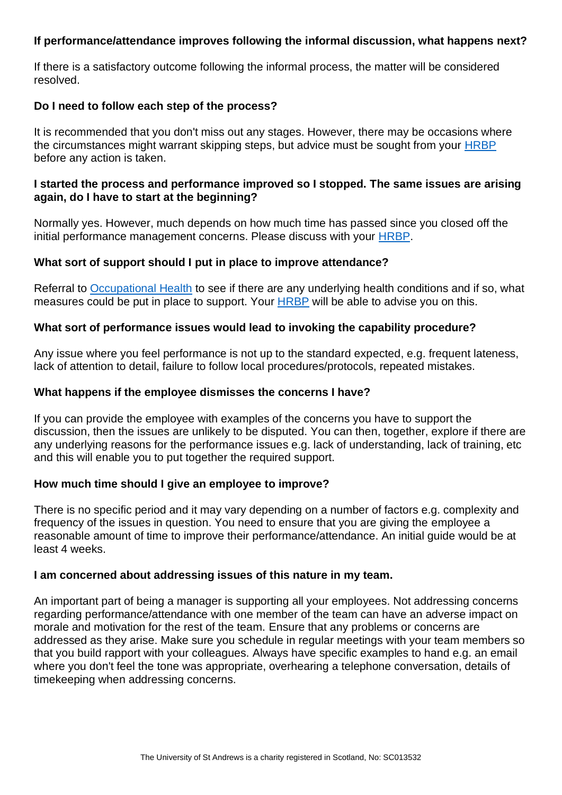## <span id="page-4-0"></span>**If performance/attendance improves following the informal discussion, what happens next?**

If there is a satisfactory outcome following the informal process, the matter will be considered resolved.

## <span id="page-4-1"></span>**Do I need to follow each step of the process?**

It is recommended that you don't miss out any stages. However, there may be occasions where the circumstances might warrant skipping steps, but advice must be sought from your [HRBP](https://www.st-andrews.ac.uk/hr/businesspartner/) before any action is taken.

## <span id="page-4-2"></span>**I started the process and performance improved so I stopped. The same issues are arising again, do I have to start at the beginning?**

Normally yes. However, much depends on how much time has passed since you closed off the initial performance management concerns. Please discuss with your [HRBP.](https://www.st-andrews.ac.uk/hr/businesspartner/)

#### <span id="page-4-3"></span>**What sort of support should I put in place to improve attendance?**

Referral to [Occupational Health](https://www.st-andrews.ac.uk/ehss/occupationalhealth/) to see if there are any underlying health conditions and if so, what measures could be put in place to support. Your [HRBP](https://www.st-andrews.ac.uk/hr/businesspartner/) will be able to advise you on this.

#### <span id="page-4-4"></span>**What sort of performance issues would lead to invoking the capability procedure?**

Any issue where you feel performance is not up to the standard expected, e.g. frequent lateness, lack of attention to detail, failure to follow local procedures/protocols, repeated mistakes.

#### <span id="page-4-5"></span>**What happens if the employee dismisses the concerns I have?**

If you can provide the employee with examples of the concerns you have to support the discussion, then the issues are unlikely to be disputed. You can then, together, explore if there are any underlying reasons for the performance issues e.g. lack of understanding, lack of training, etc and this will enable you to put together the required support.

#### <span id="page-4-6"></span>**How much time should I give an employee to improve?**

There is no specific period and it may vary depending on a number of factors e.g. complexity and frequency of the issues in question. You need to ensure that you are giving the employee a reasonable amount of time to improve their performance/attendance. An initial guide would be at least 4 weeks.

#### <span id="page-4-7"></span>**I am concerned about addressing issues of this nature in my team.**

An important part of being a manager is supporting all your employees. Not addressing concerns regarding performance/attendance with one member of the team can have an adverse impact on morale and motivation for the rest of the team. Ensure that any problems or concerns are addressed as they arise. Make sure you schedule in regular meetings with your team members so that you build rapport with your colleagues. Always have specific examples to hand e.g. an email where you don't feel the tone was appropriate, overhearing a telephone conversation, details of timekeeping when addressing concerns.